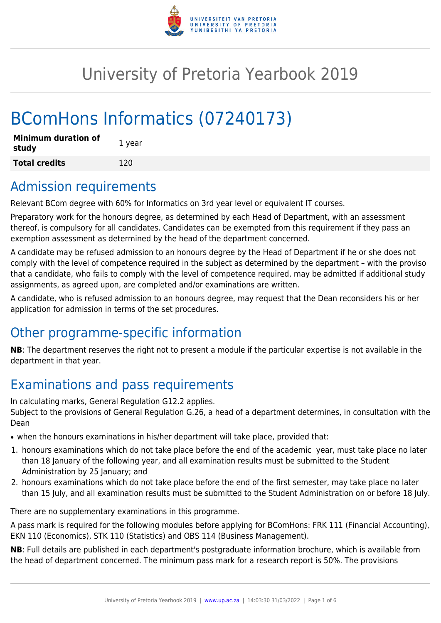

# University of Pretoria Yearbook 2019

# BComHons Informatics (07240173)

| <b>Minimum duration of</b><br>study | 1 year |
|-------------------------------------|--------|
| <b>Total credits</b>                | 120    |

## Admission requirements

Relevant BCom degree with 60% for Informatics on 3rd year level or equivalent IT courses.

Preparatory work for the honours degree, as determined by each Head of Department, with an assessment thereof, is compulsory for all candidates. Candidates can be exempted from this requirement if they pass an exemption assessment as determined by the head of the department concerned.

A candidate may be refused admission to an honours degree by the Head of Department if he or she does not comply with the level of competence required in the subject as determined by the department – with the proviso that a candidate, who fails to comply with the level of competence required, may be admitted if additional study assignments, as agreed upon, are completed and/or examinations are written.

A candidate, who is refused admission to an honours degree, may request that the Dean reconsiders his or her application for admission in terms of the set procedures.

# Other programme-specific information

**NB**: The department reserves the right not to present a module if the particular expertise is not available in the department in that year.

# Examinations and pass requirements

In calculating marks, General Regulation G12.2 applies.

Subject to the provisions of General Regulation G.26, a head of a department determines, in consultation with the Dean

- when the honours examinations in his/her department will take place, provided that:
- 1. honours examinations which do not take place before the end of the academic year, must take place no later than 18 January of the following year, and all examination results must be submitted to the Student Administration by 25 January; and
- 2. honours examinations which do not take place before the end of the first semester, may take place no later than 15 July, and all examination results must be submitted to the Student Administration on or before 18 July.

There are no supplementary examinations in this programme.

A pass mark is required for the following modules before applying for BComHons: FRK 111 (Financial Accounting), EKN 110 (Economics), STK 110 (Statistics) and OBS 114 (Business Management).

**NB**: Full details are published in each department's postgraduate information brochure, which is available from the head of department concerned. The minimum pass mark for a research report is 50%. The provisions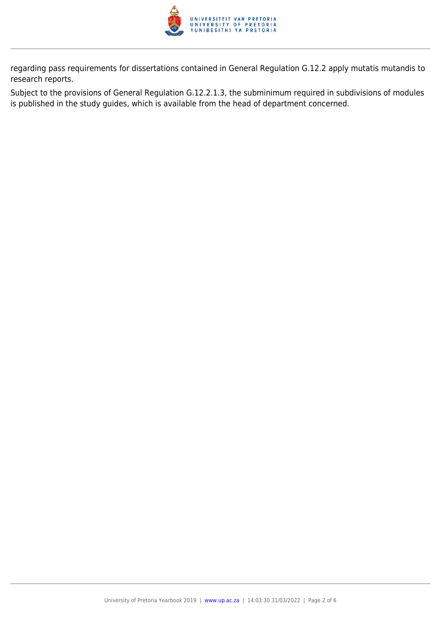

regarding pass requirements for dissertations contained in General Regulation G.12.2 apply mutatis mutandis to research reports.

Subject to the provisions of General Regulation G.12.2.1.3, the subminimum required in subdivisions of modules is published in the study guides, which is available from the head of department concerned.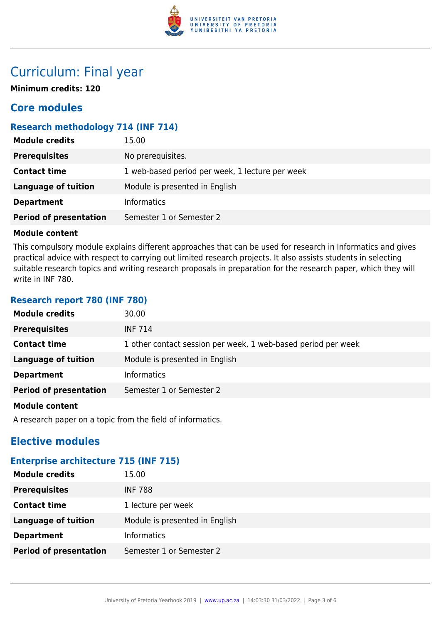

## Curriculum: Final year

**Minimum credits: 120**

### **Core modules**

#### **Research methodology 714 (INF 714)**

| <b>Module credits</b>         | 15.00                                           |  |
|-------------------------------|-------------------------------------------------|--|
| <b>Prerequisites</b>          | No prerequisites.                               |  |
| <b>Contact time</b>           | 1 web-based period per week, 1 lecture per week |  |
| <b>Language of tuition</b>    | Module is presented in English                  |  |
| <b>Department</b>             | Informatics                                     |  |
| <b>Period of presentation</b> | Semester 1 or Semester 2                        |  |

#### **Module content**

This compulsory module explains different approaches that can be used for research in Informatics and gives practical advice with respect to carrying out limited research projects. It also assists students in selecting suitable research topics and writing research proposals in preparation for the research paper, which they will write in INF 780.

#### **Research report 780 (INF 780)**

| <b>Module credits</b>         | 30.00                                                         |
|-------------------------------|---------------------------------------------------------------|
| <b>Prerequisites</b>          | <b>INF 714</b>                                                |
| <b>Contact time</b>           | 1 other contact session per week, 1 web-based period per week |
| <b>Language of tuition</b>    | Module is presented in English                                |
| <b>Department</b>             | <b>Informatics</b>                                            |
| <b>Period of presentation</b> | Semester 1 or Semester 2                                      |
| <b>Madula assistant</b>       |                                                               |

#### **Module content**

A research paper on a topic from the field of informatics.

### **Elective modules**

#### **Enterprise architecture 715 (INF 715)**

| <b>Module credits</b>         | 15.00                          |
|-------------------------------|--------------------------------|
| <b>Prerequisites</b>          | <b>INF 788</b>                 |
| <b>Contact time</b>           | 1 lecture per week             |
| <b>Language of tuition</b>    | Module is presented in English |
| <b>Department</b>             | <b>Informatics</b>             |
| <b>Period of presentation</b> | Semester 1 or Semester 2       |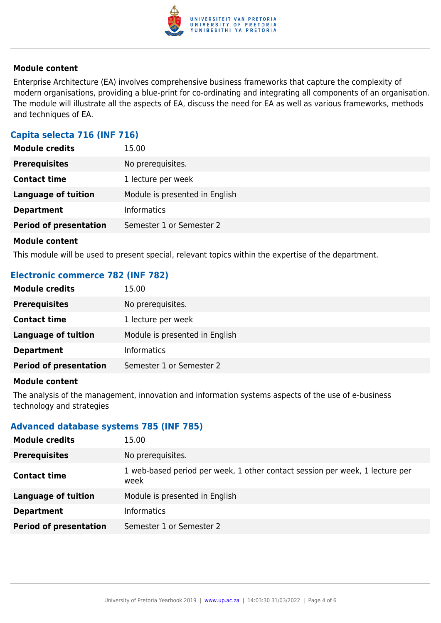

#### **Module content**

Enterprise Architecture (EA) involves comprehensive business frameworks that capture the complexity of modern organisations, providing a blue-print for co-ordinating and integrating all components of an organisation. The module will illustrate all the aspects of EA, discuss the need for EA as well as various frameworks, methods and techniques of EA.

#### **Capita selecta 716 (INF 716)**

| <b>Module credits</b>         | 15.00                          |
|-------------------------------|--------------------------------|
| <b>Prerequisites</b>          | No prerequisites.              |
| <b>Contact time</b>           | 1 lecture per week             |
| <b>Language of tuition</b>    | Module is presented in English |
| <b>Department</b>             | <b>Informatics</b>             |
| <b>Period of presentation</b> | Semester 1 or Semester 2       |
|                               |                                |

#### **Module content**

This module will be used to present special, relevant topics within the expertise of the department.

#### **Electronic commerce 782 (INF 782)**

| <b>Module credits</b>         | 15.00                          |
|-------------------------------|--------------------------------|
| <b>Prerequisites</b>          | No prerequisites.              |
| <b>Contact time</b>           | 1 lecture per week             |
| <b>Language of tuition</b>    | Module is presented in English |
| <b>Department</b>             | <b>Informatics</b>             |
| <b>Period of presentation</b> | Semester 1 or Semester 2       |

#### **Module content**

The analysis of the management, innovation and information systems aspects of the use of e-business technology and strategies

#### **Advanced database systems 785 (INF 785)**

| <b>Module credits</b>         | 15.00                                                                                |  |
|-------------------------------|--------------------------------------------------------------------------------------|--|
| <b>Prerequisites</b>          | No prerequisites.                                                                    |  |
| <b>Contact time</b>           | 1 web-based period per week, 1 other contact session per week, 1 lecture per<br>week |  |
| <b>Language of tuition</b>    | Module is presented in English                                                       |  |
| <b>Department</b>             | <b>Informatics</b>                                                                   |  |
| <b>Period of presentation</b> | Semester 1 or Semester 2                                                             |  |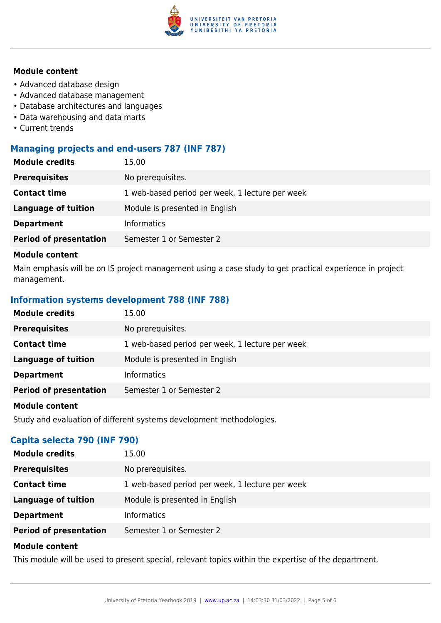

#### **Module content**

- Advanced database design
- Advanced database management
- Database architectures and languages
- Data warehousing and data marts
- Current trends

#### **Managing projects and end-users 787 (INF 787)**

| <b>Module credits</b>         | 15.00                                           |  |
|-------------------------------|-------------------------------------------------|--|
| <b>Prerequisites</b>          | No prerequisites.                               |  |
| <b>Contact time</b>           | 1 web-based period per week, 1 lecture per week |  |
| Language of tuition           | Module is presented in English                  |  |
| <b>Department</b>             | Informatics                                     |  |
| <b>Period of presentation</b> | Semester 1 or Semester 2                        |  |

#### **Module content**

Main emphasis will be on IS project management using a case study to get practical experience in project management.

#### **Information systems development 788 (INF 788)**

| <b>Module credits</b>         | 15.00                                           |  |
|-------------------------------|-------------------------------------------------|--|
| <b>Prerequisites</b>          | No prerequisites.                               |  |
| <b>Contact time</b>           | 1 web-based period per week, 1 lecture per week |  |
| Language of tuition           | Module is presented in English                  |  |
| <b>Department</b>             | <b>Informatics</b>                              |  |
| <b>Period of presentation</b> | Semester 1 or Semester 2                        |  |

#### **Module content**

Study and evaluation of different systems development methodologies.

#### **Capita selecta 790 (INF 790)**

| <b>Module credits</b>         | 15.00                                           |  |
|-------------------------------|-------------------------------------------------|--|
| <b>Prerequisites</b>          | No prerequisites.                               |  |
| <b>Contact time</b>           | 1 web-based period per week, 1 lecture per week |  |
| <b>Language of tuition</b>    | Module is presented in English                  |  |
| <b>Department</b>             | <b>Informatics</b>                              |  |
| <b>Period of presentation</b> | Semester 1 or Semester 2                        |  |

#### **Module content**

This module will be used to present special, relevant topics within the expertise of the department.